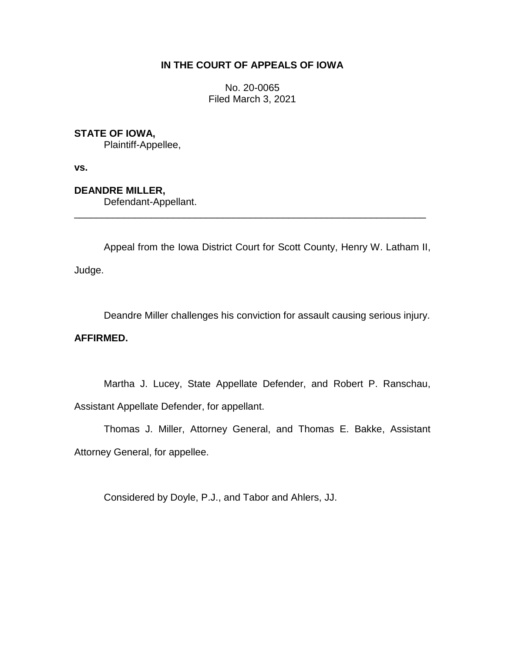# **IN THE COURT OF APPEALS OF IOWA**

No. 20-0065 Filed March 3, 2021

## **STATE OF IOWA,**

Plaintiff-Appellee,

**vs.**

**DEANDRE MILLER,**

Defendant-Appellant.

Appeal from the Iowa District Court for Scott County, Henry W. Latham II, Judge.

\_\_\_\_\_\_\_\_\_\_\_\_\_\_\_\_\_\_\_\_\_\_\_\_\_\_\_\_\_\_\_\_\_\_\_\_\_\_\_\_\_\_\_\_\_\_\_\_\_\_\_\_\_\_\_\_\_\_\_\_\_\_\_\_

Deandre Miller challenges his conviction for assault causing serious injury.

### **AFFIRMED.**

Martha J. Lucey, State Appellate Defender, and Robert P. Ranschau, Assistant Appellate Defender, for appellant.

Thomas J. Miller, Attorney General, and Thomas E. Bakke, Assistant Attorney General, for appellee.

Considered by Doyle, P.J., and Tabor and Ahlers, JJ.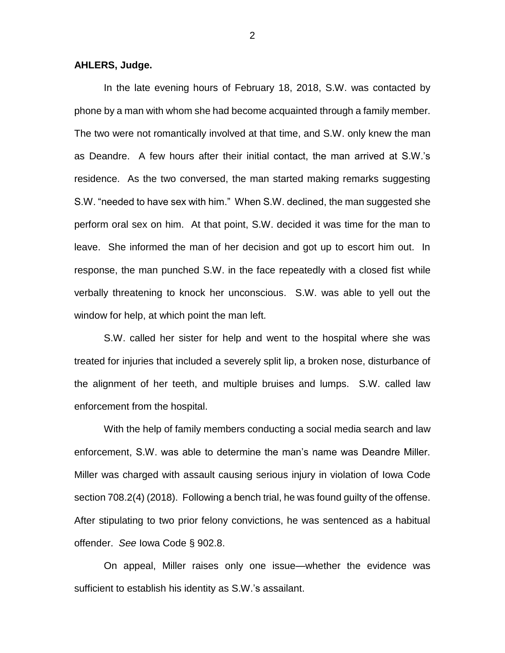#### **AHLERS, Judge.**

In the late evening hours of February 18, 2018, S.W. was contacted by phone by a man with whom she had become acquainted through a family member. The two were not romantically involved at that time, and S.W. only knew the man as Deandre. A few hours after their initial contact, the man arrived at S.W.'s residence. As the two conversed, the man started making remarks suggesting S.W. "needed to have sex with him." When S.W. declined, the man suggested she perform oral sex on him. At that point, S.W. decided it was time for the man to leave. She informed the man of her decision and got up to escort him out. In response, the man punched S.W. in the face repeatedly with a closed fist while verbally threatening to knock her unconscious. S.W. was able to yell out the window for help, at which point the man left.

S.W. called her sister for help and went to the hospital where she was treated for injuries that included a severely split lip, a broken nose, disturbance of the alignment of her teeth, and multiple bruises and lumps. S.W. called law enforcement from the hospital.

With the help of family members conducting a social media search and law enforcement, S.W. was able to determine the man's name was Deandre Miller. Miller was charged with assault causing serious injury in violation of Iowa Code section 708.2(4) (2018). Following a bench trial, he was found guilty of the offense. After stipulating to two prior felony convictions, he was sentenced as a habitual offender. *See* Iowa Code § 902.8.

On appeal, Miller raises only one issue—whether the evidence was sufficient to establish his identity as S.W.'s assailant.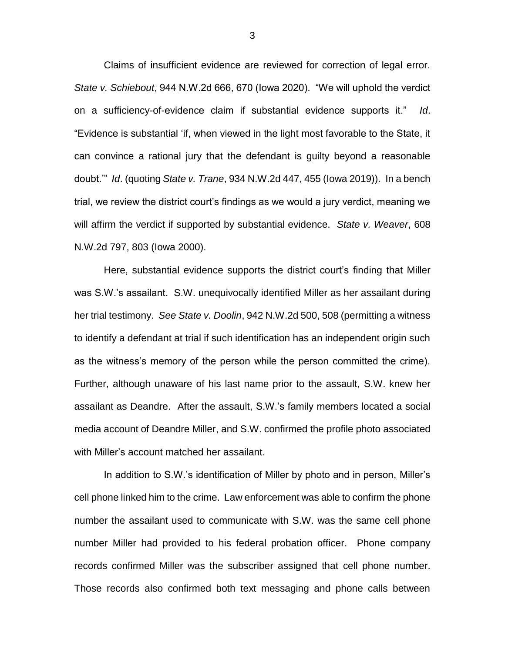Claims of insufficient evidence are reviewed for correction of legal error. *State v. Schiebout*, 944 N.W.2d 666, 670 (Iowa 2020). "We will uphold the verdict on a sufficiency-of-evidence claim if substantial evidence supports it." *Id*. "Evidence is substantial 'if, when viewed in the light most favorable to the State, it can convince a rational jury that the defendant is guilty beyond a reasonable doubt.'" *Id*. (quoting *State v. Trane*, 934 N.W.2d 447, 455 (Iowa 2019)). In a bench trial, we review the district court's findings as we would a jury verdict, meaning we will affirm the verdict if supported by substantial evidence. *State v. Weaver*, 608 N.W.2d 797, 803 (Iowa 2000).

Here, substantial evidence supports the district court's finding that Miller was S.W.'s assailant. S.W. unequivocally identified Miller as her assailant during her trial testimony. *See State v. Doolin*, 942 N.W.2d 500, 508 (permitting a witness to identify a defendant at trial if such identification has an independent origin such as the witness's memory of the person while the person committed the crime). Further, although unaware of his last name prior to the assault, S.W. knew her assailant as Deandre. After the assault, S.W.'s family members located a social media account of Deandre Miller, and S.W. confirmed the profile photo associated with Miller's account matched her assailant.

In addition to S.W.'s identification of Miller by photo and in person, Miller's cell phone linked him to the crime. Law enforcement was able to confirm the phone number the assailant used to communicate with S.W. was the same cell phone number Miller had provided to his federal probation officer. Phone company records confirmed Miller was the subscriber assigned that cell phone number. Those records also confirmed both text messaging and phone calls between